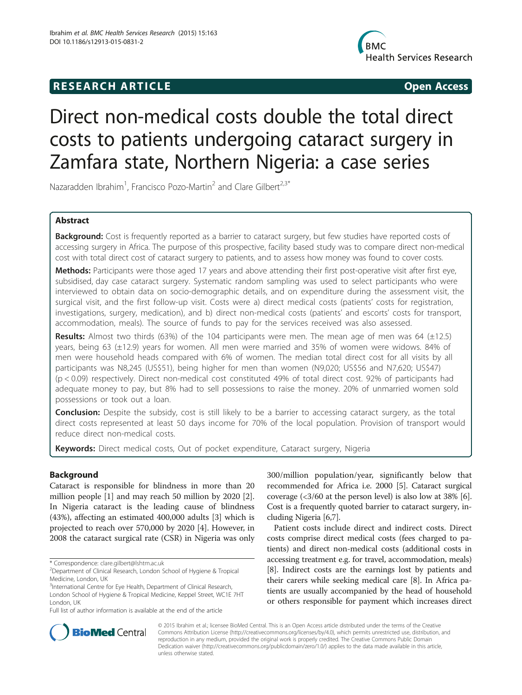# R E S EAR CH A R TIC L E Open Access



# Direct non-medical costs double the total direct costs to patients undergoing cataract surgery in Zamfara state, Northern Nigeria: a case series

Nazaradden Ibrahim<sup>1</sup>, Francisco Pozo-Martin<sup>2</sup> and Clare Gilbert<sup>2,3\*</sup>

# Abstract

Background: Cost is frequently reported as a barrier to cataract surgery, but few studies have reported costs of accessing surgery in Africa. The purpose of this prospective, facility based study was to compare direct non-medical cost with total direct cost of cataract surgery to patients, and to assess how money was found to cover costs.

Methods: Participants were those aged 17 years and above attending their first post-operative visit after first eye, subsidised, day case cataract surgery. Systematic random sampling was used to select participants who were interviewed to obtain data on socio-demographic details, and on expenditure during the assessment visit, the surgical visit, and the first follow-up visit. Costs were a) direct medical costs (patients' costs for registration, investigations, surgery, medication), and b) direct non-medical costs (patients' and escorts' costs for transport, accommodation, meals). The source of funds to pay for the services received was also assessed.

**Results:** Almost two thirds (63%) of the 104 participants were men. The mean age of men was 64 ( $\pm$ 12.5) years, being 63 (±12.9) years for women. All men were married and 35% of women were widows. 84% of men were household heads compared with 6% of women. The median total direct cost for all visits by all participants was N8,245 (US\$51), being higher for men than women (N9,020; US\$56 and N7,620; US\$47) (p < 0.09) respectively. Direct non-medical cost constituted 49% of total direct cost. 92% of participants had adequate money to pay, but 8% had to sell possessions to raise the money. 20% of unmarried women sold possessions or took out a loan.

**Conclusion:** Despite the subsidy, cost is still likely to be a barrier to accessing cataract surgery, as the total direct costs represented at least 50 days income for 70% of the local population. Provision of transport would reduce direct non-medical costs.

Keywords: Direct medical costs, Out of pocket expenditure, Cataract surgery, Nigeria

# **Background**

Cataract is responsible for blindness in more than 20 million people [[1\]](#page-5-0) and may reach 50 million by 2020 [\[2](#page-5-0)]. In Nigeria cataract is the leading cause of blindness (43%), affecting an estimated 400,000 adults [\[3\]](#page-5-0) which is projected to reach over 570,000 by 2020 [\[4](#page-5-0)]. However, in 2008 the cataract surgical rate (CSR) in Nigeria was only

Full list of author information is available at the end of the article

300/million population/year, significantly below that recommended for Africa i.e. 2000 [\[5](#page-5-0)]. Cataract surgical coverage (<3/60 at the person level) is also low at 38% [[6](#page-5-0)]. Cost is a frequently quoted barrier to cataract surgery, including Nigeria [[6,7](#page-5-0)].

Patient costs include direct and indirect costs. Direct costs comprise direct medical costs (fees charged to patients) and direct non-medical costs (additional costs in accessing treatment e.g. for travel, accommodation, meals) [[8\]](#page-5-0). Indirect costs are the earnings lost by patients and their carers while seeking medical care [\[8](#page-5-0)]. In Africa patients are usually accompanied by the head of household or others responsible for payment which increases direct



© 2015 Ibrahim et al.; licensee BioMed Central. This is an Open Access article distributed under the terms of the Creative Commons Attribution License [\(http://creativecommons.org/licenses/by/4.0\)](http://creativecommons.org/licenses/by/4.0), which permits unrestricted use, distribution, and reproduction in any medium, provided the original work is properly credited. The Creative Commons Public Domain Dedication waiver [\(http://creativecommons.org/publicdomain/zero/1.0/](http://creativecommons.org/publicdomain/zero/1.0/)) applies to the data made available in this article, unless otherwise stated.

<sup>\*</sup> Correspondence: [clare.gilbert@lshtm.ac.uk](mailto:clare.gilbert@lshtm.ac.uk) <sup>2</sup>

<sup>&</sup>lt;sup>2</sup>Department of Clinical Research, London School of Hygiene & Tropical Medicine, London, UK

<sup>&</sup>lt;sup>3</sup>International Centre for Eye Health, Department of Clinical Research, London School of Hygiene & Tropical Medicine, Keppel Street, WC1E 7HT London, UK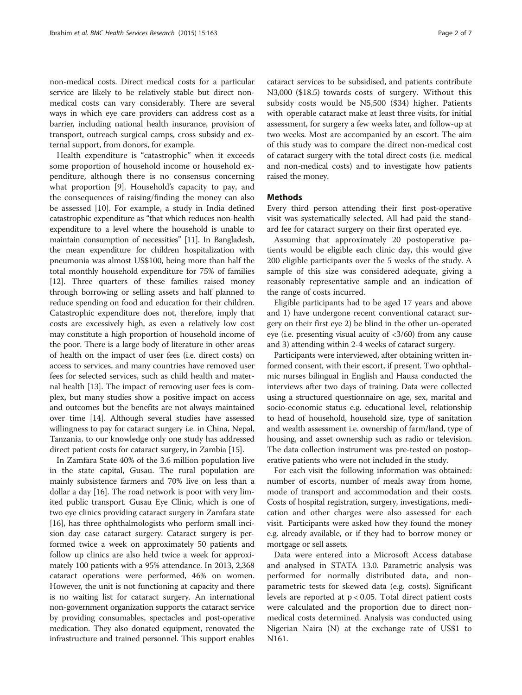non-medical costs. Direct medical costs for a particular service are likely to be relatively stable but direct nonmedical costs can vary considerably. There are several ways in which eye care providers can address cost as a barrier, including national health insurance, provision of transport, outreach surgical camps, cross subsidy and external support, from donors, for example.

Health expenditure is "catastrophic" when it exceeds some proportion of household income or household expenditure, although there is no consensus concerning what proportion [[9\]](#page-5-0). Household's capacity to pay, and the consequences of raising/finding the money can also be assessed [\[10](#page-5-0)]. For example, a study in India defined catastrophic expenditure as "that which reduces non-health expenditure to a level where the household is unable to maintain consumption of necessities" [[11\]](#page-5-0). In Bangladesh, the mean expenditure for children hospitalization with pneumonia was almost US\$100, being more than half the total monthly household expenditure for 75% of families [[12](#page-5-0)]. Three quarters of these families raised money through borrowing or selling assets and half planned to reduce spending on food and education for their children. Catastrophic expenditure does not, therefore, imply that costs are excessively high, as even a relatively low cost may constitute a high proportion of household income of the poor. There is a large body of literature in other areas of health on the impact of user fees (i.e. direct costs) on access to services, and many countries have removed user fees for selected services, such as child health and maternal health [[13](#page-5-0)]. The impact of removing user fees is complex, but many studies show a positive impact on access and outcomes but the benefits are not always maintained over time [[14](#page-5-0)]. Although several studies have assessed willingness to pay for cataract surgery i.e. in China, Nepal, Tanzania, to our knowledge only one study has addressed direct patient costs for cataract surgery, in Zambia [[15\]](#page-5-0).

In Zamfara State 40% of the 3.6 million population live in the state capital, Gusau. The rural population are mainly subsistence farmers and 70% live on less than a dollar a day [[16](#page-5-0)]. The road network is poor with very limited public transport. Gusau Eye Clinic, which is one of two eye clinics providing cataract surgery in Zamfara state [[16](#page-5-0)], has three ophthalmologists who perform small incision day case cataract surgery. Cataract surgery is performed twice a week on approximately 50 patients and follow up clinics are also held twice a week for approximately 100 patients with a 95% attendance. In 2013, 2,368 cataract operations were performed, 46% on women. However, the unit is not functioning at capacity and there is no waiting list for cataract surgery. An international non-government organization supports the cataract service by providing consumables, spectacles and post-operative medication. They also donated equipment, renovated the infrastructure and trained personnel. This support enables

cataract services to be subsidised, and patients contribute N3,000 (\$18.5) towards costs of surgery. Without this

subsidy costs would be N5,500 (\$34) higher. Patients with operable cataract make at least three visits, for initial assessment, for surgery a few weeks later, and follow-up at two weeks. Most are accompanied by an escort. The aim of this study was to compare the direct non-medical cost of cataract surgery with the total direct costs (i.e. medical and non-medical costs) and to investigate how patients raised the money.

# Methods

Every third person attending their first post-operative visit was systematically selected. All had paid the standard fee for cataract surgery on their first operated eye.

Assuming that approximately 20 postoperative patients would be eligible each clinic day, this would give 200 eligible participants over the 5 weeks of the study. A sample of this size was considered adequate, giving a reasonably representative sample and an indication of the range of costs incurred.

Eligible participants had to be aged 17 years and above and 1) have undergone recent conventional cataract surgery on their first eye 2) be blind in the other un-operated eye (i.e. presenting visual acuity of <3/60) from any cause and 3) attending within 2-4 weeks of cataract surgery.

Participants were interviewed, after obtaining written informed consent, with their escort, if present. Two ophthalmic nurses bilingual in English and Hausa conducted the interviews after two days of training. Data were collected using a structured questionnaire on age, sex, marital and socio-economic status e.g. educational level, relationship to head of household, household size, type of sanitation and wealth assessment i.e. ownership of farm/land, type of housing, and asset ownership such as radio or television. The data collection instrument was pre-tested on postoperative patients who were not included in the study.

For each visit the following information was obtained: number of escorts, number of meals away from home, mode of transport and accommodation and their costs. Costs of hospital registration, surgery, investigations, medication and other charges were also assessed for each visit. Participants were asked how they found the money e.g. already available, or if they had to borrow money or mortgage or sell assets.

Data were entered into a Microsoft Access database and analysed in STATA 13.0. Parametric analysis was performed for normally distributed data, and nonparametric tests for skewed data (e.g. costs). Significant levels are reported at  $p < 0.05$ . Total direct patient costs were calculated and the proportion due to direct nonmedical costs determined. Analysis was conducted using Nigerian Naira (N) at the exchange rate of US\$1 to N161.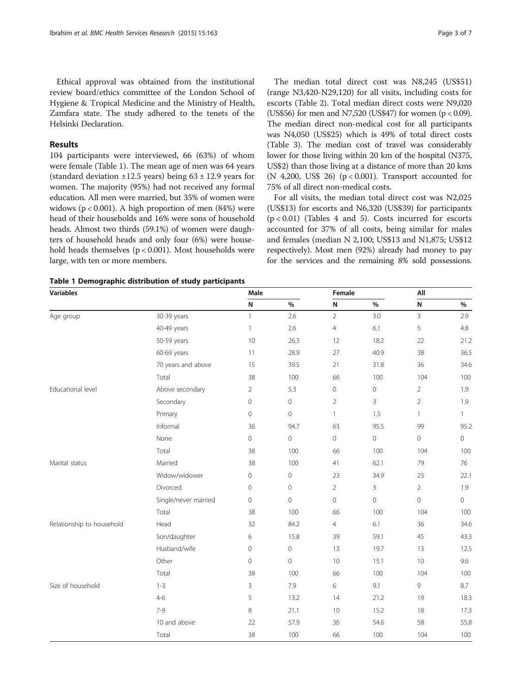Ethical approval was obtained from the institutional review board/ethics committee of the London School of Hygiene & Tropical Medicine and the Ministry of Health, Zamfara state. The study adhered to the tenets of the Helsinki Declaration.

# Results

104 participants were interviewed, 66 (63%) of whom were female (Table 1). The mean age of men was 64 years (standard deviation  $\pm 12.5$  years) being  $63 \pm 12.9$  years for women. The majority (95%) had not received any formal education. All men were married, but 35% of women were widows ( $p < 0.001$ ). A high proportion of men (84%) were head of their households and 16% were sons of household heads. Almost two thirds (59.1%) of women were daughters of household heads and only four (6%) were household heads themselves (p < 0.001). Most households were large, with ten or more members.

The median total direct cost was N8,245 (US\$51) (range N3,420-N29,120) for all visits, including costs for escorts (Table [2\)](#page-3-0). Total median direct costs were N9,020 (US\$56) for men and N7,520 (US\$47) for women (p < 0.09). The median direct non-medical cost for all participants was N4,050 (US\$25) which is 49% of total direct costs (Table [3\)](#page-3-0). The median cost of travel was considerably lower for those living within 20 km of the hospital (N375, US\$2) than those living at a distance of more than 20 kms (N 4,200, US\$ 26) (p < 0.001). Transport accounted for 75% of all direct non-medical costs.

For all visits, the median total direct cost was N2,025 (US\$13) for escorts and N6,320 (US\$39) for participants  $(p < 0.01)$  (Tables [4](#page-4-0) and [5](#page-4-0)). Costs incurred for escorts accounted for 37% of all costs, being similar for males and females (median N 2,100; US\$13 and N1,875; US\$12 respectively). Most men (92%) already had money to pay for the services and the remaining 8% sold possessions.

| Table 1 Demographic distribution of study participants |  |  |  |
|--------------------------------------------------------|--|--|--|
|--------------------------------------------------------|--|--|--|

| <b>Variables</b>          |                      | Male           |                     |                | Female              |                | All                 |  |
|---------------------------|----------------------|----------------|---------------------|----------------|---------------------|----------------|---------------------|--|
|                           |                      | N              | $\%$                | ${\sf N}$      | $\%$                | N              | $\%$                |  |
| Age group                 | 30-39 years          | $\mathbf{1}$   | 2.6                 | $\overline{2}$ | 3.0                 | 3              | 2.9                 |  |
|                           | 40-49 years          | $\mathbf{1}$   | 2.6                 | $\overline{4}$ | 6.1                 | 5              | 4.8                 |  |
|                           | 50-59 years          | 10             | 26.3                | 12             | 18.2                | 22             | 21.2                |  |
|                           | 60-69 years          | 11             | 28.9                | 27             | 40.9                | 38             | 36.5                |  |
|                           | 70 years and above   | 15             | 39.5                | 21             | 31.8                | 36             | 34.6                |  |
|                           | Total                | 38             | 100                 | 66             | 100                 | 104            | 100                 |  |
| Educational level         | Above secondary      | $\overline{2}$ | 5.3                 | $\mathbb O$    | $\mathbf 0$         | $\overline{2}$ | 1.9                 |  |
|                           | Secondary            | $\mathbf{0}$   | $\mathbf 0$         | $\overline{2}$ | $\overline{3}$      | $\overline{2}$ | 1.9                 |  |
|                           | Primary              | $\mathbf 0$    | $\mathsf{O}\xspace$ | $\mathbf{1}$   | 1.5                 | $\mathbf{1}$   | $\mathbf{1}$        |  |
|                           | Informal             | 36             | 94.7                | 63             | 95.5                | 99             | 95.2                |  |
|                           | None                 | $\mathbf 0$    | $\mathsf{O}\xspace$ | $\mathbb O$    | $\mathsf{O}\xspace$ | 0              | $\mathsf{O}\xspace$ |  |
|                           | Total                | 38             | 100                 | 66             | 100                 | 104            | 100                 |  |
| Marital status            | Married              | 38             | 100                 | 41             | 62.1                | 79             | 76                  |  |
|                           | Widow/widower        | $\circ$        | $\mathsf{O}\xspace$ | 23             | 34.9                | 23             | 22.1                |  |
|                           | Divorced             | $\mathbf{0}$   | $\mathbf 0$         | $\overline{2}$ | 3                   | $\overline{2}$ | 1.9                 |  |
|                           | Single/never married | $\overline{0}$ | $\mathbf 0$         | $\circledcirc$ | $\mathbf 0$         | $\overline{0}$ | $\circ$             |  |
|                           | Total                | 38             | 100                 | 66             | 100                 | 104            | 100                 |  |
| Relationship to household | Head                 | 32             | 84.2                | $\overline{4}$ | 6.1                 | 36             | 34.6                |  |
|                           | Son/daughter         | 6              | 15.8                | 39             | 59.1                | 45             | 43.3                |  |
|                           | Husband/wife         | $\overline{0}$ | $\mathbf 0$         | 13             | 19.7                | 13             | 12.5                |  |
|                           | Other                | $\overline{0}$ | $\overline{0}$      | 10             | 15.1                | 10             | 9.6                 |  |
|                           | Total                | 38             | 100                 | 66             | 100                 | 104            | 100                 |  |
| Size of household         | $1 - 3$              | 3              | 7.9                 | 6              | 9.1                 | 9              | 8.7                 |  |
|                           | $4 - 6$              | 5              | 13.2                | 14             | 21.2                | 19             | 18.3                |  |
|                           | $7-9$                | 8              | 21.1                | 10             | 15.2                | 18             | 17.3                |  |
|                           | 10 and above         | 22             | 57.9                | 36             | 54.6                | 58             | 55.8                |  |
|                           | Total                | 38             | 100                 | 66             | 100                 | 104            | 100                 |  |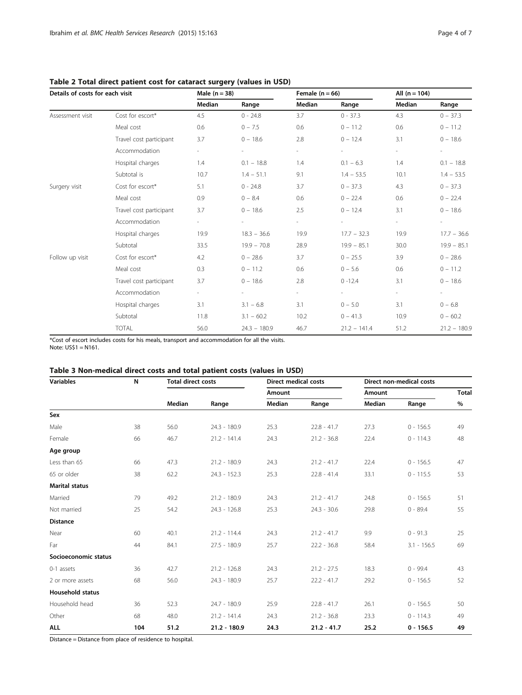# <span id="page-3-0"></span>Table 2 Total direct patient cost for cataract surgery (values in USD)

| Details of costs for each visit |                         | Male $(n = 38)$          |                | Female $(n = 66)$   |                | All $(n = 104)$ |                |
|---------------------------------|-------------------------|--------------------------|----------------|---------------------|----------------|-----------------|----------------|
|                                 |                         | Median                   | Range          | Median              | Range          | Median          | Range          |
| Assessment visit                | Cost for escort*        | 4.5                      | $0 - 24.8$     | 3.7                 | $0 - 37.3$     | 4.3             | $0 - 37.3$     |
|                                 | Meal cost               | 0.6                      | $0 - 7.5$      | 0.6                 | $0 - 11.2$     | 0.6             | $0 - 11.2$     |
|                                 | Travel cost participant | 3.7                      | $0 - 18.6$     | 2.8                 | $0 - 12.4$     | 3.1             | $0 - 18.6$     |
|                                 | Accommodation           | $\overline{\phantom{a}}$ | $\equiv$       | $\sim$              | $\sim$         | $\blacksquare$  | $\sim$         |
|                                 | Hospital charges        | 1.4                      | $0.1 - 18.8$   | 1.4                 | $0.1 - 6.3$    | 1.4             | $0.1 - 18.8$   |
|                                 | Subtotal is             | 10.7                     | $1.4 - 51.1$   | 9.1                 | $1.4 - 53.5$   | 10.1            | $1.4 - 53.5$   |
| Surgery visit                   | Cost for escort*        | 5.1                      | $0 - 24.8$     | 3.7                 | $0 - 37.3$     | 4.3             | $0 - 37.3$     |
|                                 | Meal cost               | 0.9                      | $0 - 8.4$      | 0.6                 | $0 - 22.4$     | 0.6             | $0 - 22.4$     |
|                                 | Travel cost participant | 3.7                      | $0 - 18.6$     | 2.5                 | $0 - 12.4$     | 3.1             | $0 - 18.6$     |
|                                 | Accommodation           | $\sim$                   | $\equiv$       | $\omega_{\rm{eff}}$ |                | $\sim$          | $\sim$         |
|                                 | Hospital charges        | 19.9                     | $18.3 - 36.6$  | 19.9                | $17.7 - 32.3$  | 19.9            | $17.7 - 36.6$  |
|                                 | Subtotal                | 33.5                     | $19.9 - 70.8$  | 28.9                | $19.9 - 85.1$  | 30.0            | $19.9 - 85.1$  |
| Follow up visit                 | Cost for escort*        | 4.2                      | $0 - 28.6$     | 3.7                 | $0 - 25.5$     | 3.9             | $0 - 28.6$     |
|                                 | Meal cost               | 0.3                      | $0 - 11.2$     | 0.6                 | $0 - 5.6$      | 0.6             | $0 - 11.2$     |
|                                 | Travel cost participant | 3.7                      | $0 - 18.6$     | 2.8                 | $0 - 12.4$     | 3.1             | $0 - 18.6$     |
|                                 | Accommodation           | $\overline{\phantom{a}}$ | $\equiv$       | $\sim$ .            |                | $\sim$          | $\equiv$       |
|                                 | Hospital charges        | 3.1                      | $3.1 - 6.8$    | 3.1                 | $0 - 5.0$      | 3.1             | $0 - 6.8$      |
|                                 | Subtotal                | 11.8                     | $3.1 - 60.2$   | 10.2                | $0 - 41.3$     | 10.9            | $0 - 60.2$     |
|                                 | <b>TOTAL</b>            | 56.0                     | $24.3 - 180.9$ | 46.7                | $21.2 - 141.4$ | 51.2            | $21.2 - 180.9$ |

\*Cost of escort includes costs for his meals, transport and accommodation for all the visits. Note: US\$1 = N161.

# Table 3 Non-medical direct costs and total patient costs (values in USD)

| <b>Variables</b>        | N   | <b>Total direct costs</b> |                | <b>Direct medical costs</b> |               | Direct non-medical costs |               |              |
|-------------------------|-----|---------------------------|----------------|-----------------------------|---------------|--------------------------|---------------|--------------|
|                         |     |                           |                | Amount                      |               | Amount                   |               | <b>Total</b> |
|                         |     | Median                    | Range          | Median                      | Range         | Median                   | Range         | %            |
| Sex                     |     |                           |                |                             |               |                          |               |              |
| Male                    | 38  | 56.0                      | $24.3 - 180.9$ | 25.3                        | $22.8 - 41.7$ | 27.3                     | $0 - 156.5$   | 49           |
| Female                  | 66  | 46.7                      | $21.2 - 141.4$ | 24.3                        | $21.2 - 36.8$ | 22.4                     | $0 - 114.3$   | 48           |
| Age group               |     |                           |                |                             |               |                          |               |              |
| Less than 65            | 66  | 47.3                      | $21.2 - 180.9$ | 24.3                        | $21.2 - 41.7$ | 22.4                     | $0 - 156.5$   | 47           |
| 65 or older             | 38  | 62.2                      | $24.3 - 152.3$ | 25.3                        | $22.8 - 41.4$ | 33.1                     | $0 - 115.5$   | 53           |
| <b>Marital status</b>   |     |                           |                |                             |               |                          |               |              |
| Married                 | 79  | 49.2                      | $21.2 - 180.9$ | 24.3                        | $21.2 - 41.7$ | 24.8                     | $0 - 156.5$   | 51           |
| Not married             | 25  | 54.2                      | $24.3 - 126.8$ | 25.3                        | $24.3 - 30.6$ | 29.8                     | $0 - 89.4$    | 55           |
| <b>Distance</b>         |     |                           |                |                             |               |                          |               |              |
| Near                    | 60  | 40.1                      | $21.2 - 114.4$ | 24.3                        | $21.2 - 41.7$ | 9.9                      | $0 - 91.3$    | 25           |
| Far                     | 44  | 84.1                      | $27.5 - 180.9$ | 25.7                        | $22.2 - 36.8$ | 58.4                     | $3.1 - 156.5$ | 69           |
| Socioeconomic status    |     |                           |                |                             |               |                          |               |              |
| 0-1 assets              | 36  | 42.7                      | $21.2 - 126.8$ | 24.3                        | $21.2 - 27.5$ | 18.3                     | $0 - 99.4$    | 43           |
| 2 or more assets        | 68  | 56.0                      | 24.3 - 180.9   | 25.7                        | $22.2 - 41.7$ | 29.2                     | $0 - 156.5$   | 52           |
| <b>Household status</b> |     |                           |                |                             |               |                          |               |              |
| Household head          | 36  | 52.3                      | 24.7 - 180.9   | 25.9                        | $22.8 - 41.7$ | 26.1                     | $0 - 156.5$   | 50           |
| Other                   | 68  | 48.0                      | $21.2 - 141.4$ | 24.3                        | $21.2 - 36.8$ | 23.3                     | $0 - 114.3$   | 49           |
| <b>ALL</b>              | 104 | 51.2                      | $21.2 - 180.9$ | 24.3                        | $21.2 - 41.7$ | 25.2                     | $0 - 156.5$   | 49           |

Distance = Distance from place of residence to hospital.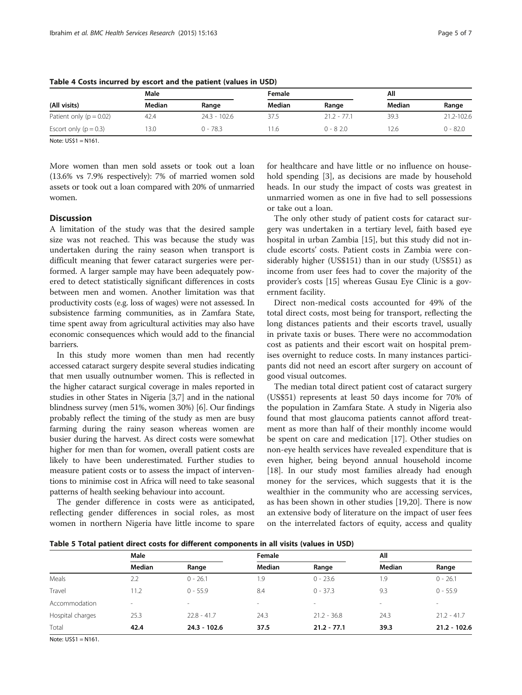| (All visits)                | Male   |              |        |               | All    |            |
|-----------------------------|--------|--------------|--------|---------------|--------|------------|
|                             | Median | Range        | Median | Range         | Median | Range      |
| Patient only ( $p = 0.02$ ) | 42.4   | 24.3 - 102.6 | 37.5   | $21.2 - 77.1$ | 39.3   | 21.2-102.6 |
| Escort only $(p = 0.3)$     | 13.0   | $0 - 78.3$   | 1.6    | $0 - 820$     | 12.6.  | $0 - 82.0$ |

<span id="page-4-0"></span>Table 4 Costs incurred by escort and the patient (values in USD)

Note: US\$1 = N161.

More women than men sold assets or took out a loan (13.6% vs 7.9% respectively): 7% of married women sold assets or took out a loan compared with 20% of unmarried women.

# **Discussion**

A limitation of the study was that the desired sample size was not reached. This was because the study was undertaken during the rainy season when transport is difficult meaning that fewer cataract surgeries were performed. A larger sample may have been adequately powered to detect statistically significant differences in costs between men and women. Another limitation was that productivity costs (e.g. loss of wages) were not assessed. In subsistence farming communities, as in Zamfara State, time spent away from agricultural activities may also have economic consequences which would add to the financial barriers.

In this study more women than men had recently accessed cataract surgery despite several studies indicating that men usually outnumber women. This is reflected in the higher cataract surgical coverage in males reported in studies in other States in Nigeria [[3,7](#page-5-0)] and in the national blindness survey (men 51%, women 30%) [\[6\]](#page-5-0). Our findings probably reflect the timing of the study as men are busy farming during the rainy season whereas women are busier during the harvest. As direct costs were somewhat higher for men than for women, overall patient costs are likely to have been underestimated. Further studies to measure patient costs or to assess the impact of interventions to minimise cost in Africa will need to take seasonal patterns of health seeking behaviour into account.

The gender difference in costs were as anticipated, reflecting gender differences in social roles, as most women in northern Nigeria have little income to spare

for healthcare and have little or no influence on household spending [\[3](#page-5-0)], as decisions are made by household heads. In our study the impact of costs was greatest in unmarried women as one in five had to sell possessions or take out a loan.

The only other study of patient costs for cataract surgery was undertaken in a tertiary level, faith based eye hospital in urban Zambia [[15](#page-5-0)], but this study did not include escorts' costs. Patient costs in Zambia were considerably higher (US\$151) than in our study (US\$51) as income from user fees had to cover the majority of the provider's costs [[15\]](#page-5-0) whereas Gusau Eye Clinic is a government facility.

Direct non-medical costs accounted for 49% of the total direct costs, most being for transport, reflecting the long distances patients and their escorts travel, usually in private taxis or buses. There were no accommodation cost as patients and their escort wait on hospital premises overnight to reduce costs. In many instances participants did not need an escort after surgery on account of good visual outcomes.

The median total direct patient cost of cataract surgery (US\$51) represents at least 50 days income for 70% of the population in Zamfara State. A study in Nigeria also found that most glaucoma patients cannot afford treatment as more than half of their monthly income would be spent on care and medication [\[17](#page-6-0)]. Other studies on non-eye health services have revealed expenditure that is even higher, being beyond annual household income [[18\]](#page-6-0). In our study most families already had enough money for the services, which suggests that it is the wealthier in the community who are accessing services, as has been shown in other studies [[19,20](#page-6-0)]. There is now an extensive body of literature on the impact of user fees on the interrelated factors of equity, access and quality

Table 5 Total patient direct costs for different components in all visits (values in USD)

| Male                     |                | Female |               | All                      |                          |  |
|--------------------------|----------------|--------|---------------|--------------------------|--------------------------|--|
| Median                   | Range          | Median | Range         | <b>Median</b>            | Range                    |  |
| 2.2                      | $0 - 26.1$     | 1.9    | $0 - 23.6$    | 1.9                      | $0 - 26.1$               |  |
| 11.2                     | $0 - 55.9$     | 8.4    | $0 - 37.3$    | 9.3                      | $0 - 55.9$               |  |
| $\overline{\phantom{a}}$ | ٠              | $\,$   | $\,$          | $\overline{\phantom{a}}$ | $\overline{\phantom{a}}$ |  |
| 25.3                     | $22.8 - 41.7$  | 24.3   | $21.2 - 36.8$ | 24.3                     | $21.2 - 41.7$            |  |
| 42.4                     | $24.3 - 102.6$ | 37.5   | $21.2 - 77.1$ | 39.3                     | $21.2 - 102.6$           |  |
|                          |                |        |               |                          |                          |  |

Note: US\$1 = N161.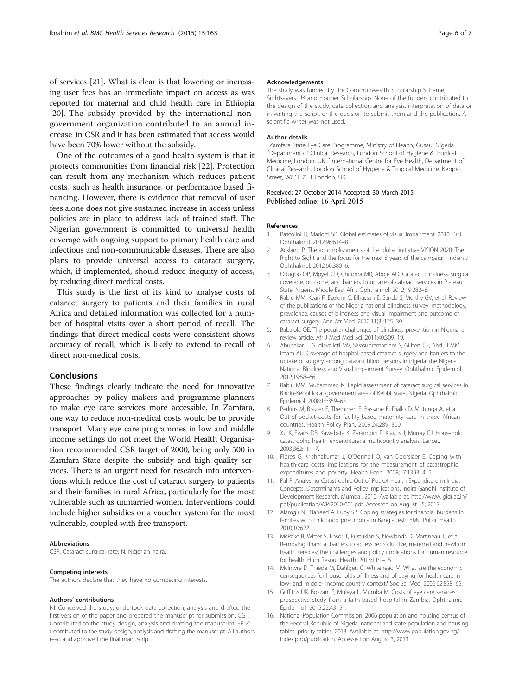<span id="page-5-0"></span>of services [\[21\]](#page-6-0). What is clear is that lowering or increasing user fees has an immediate impact on access as was reported for maternal and child health care in Ethiopia [[20](#page-6-0)]. The subsidy provided by the international nongovernment organization contributed to an annual increase in CSR and it has been estimated that access would have been 70% lower without the subsidy.

One of the outcomes of a good health system is that it protects communities from financial risk [[22\]](#page-6-0). Protection can result from any mechanism which reduces patient costs, such as health insurance, or performance based financing. However, there is evidence that removal of user fees alone does not give sustained increase in access unless policies are in place to address lack of trained staff. The Nigerian government is committed to universal health coverage with ongoing support to primary health care and infectious and non-communicable diseases. There are also plans to provide universal access to cataract surgery, which, if implemented, should reduce inequity of access, by reducing direct medical costs.

This study is the first of its kind to analyse costs of cataract surgery to patients and their families in rural Africa and detailed information was collected for a number of hospital visits over a short period of recall. The findings that direct medical costs were consistent shows accuracy of recall, which is likely to extend to recall of direct non-medical costs.

#### Conclusions

These findings clearly indicate the need for innovative approaches by policy makers and programme planners to make eye care services more accessible. In Zamfara, one way to reduce non-medical costs would be to provide transport. Many eye care programmes in low and middle income settings do not meet the World Health Organisation recommended CSR target of 2000, being only 500 in Zamfara State despite the subsidy and high quality services. There is an urgent need for research into interventions which reduce the cost of cataract surgery to patients and their families in rural Africa, particularly for the most vulnerable such as unmarried women. Interventions could include higher subsidies or a voucher system for the most vulnerable, coupled with free transport.

#### Abbreviations

CSR: Cataract surgical rate; N: Nigerian naira.

#### Competing interests

The authors declare that they have no competing interests.

#### Authors' contributions

NI: Conceived the study, undertook data collection, analysis and drafted the first version of the paper and prepared the manuscript for submission. CG: Contributed to the study design, analysis and drafting the manuscript. FP-Z: Contributed to the study design, analysis and drafting the manuscript. All authors read and approved the final manuscript.

#### Acknowledgements

The study was funded by the Commonwealth Scholarship Scheme, Sightsavers UK and Hooper Scholarship. None of the funders contributed to the design of the study, data collection and analysis, interpretation of data or in writing the script, or the decision to submit them and the publication. A scientific writer was not used.

#### Author details

1 Zamfara State Eye Care Programme, Ministry of Health, Gusau, Nigeria. <sup>2</sup> Department of Clinical Research, London School of Hygiene & Tropical Medicine, London, UK.<sup>3</sup>International Centre for Eye Health, Department of Clinical Research, London School of Hygiene & Tropical Medicine, Keppel Street, WC1E 7HT London, UK.

#### Received: 27 October 2014 Accepted: 30 March 2015 Published online: 16 April 2015

#### References

- 1. Pascolini D, Mariotti SP. Global estimates of visual impairment: 2010. Br J Ophthalmol. 2012;96:614–8.
- 2. Ackland P. The accomplishments of the global initiative VISION 2020: The Right to Sight and the focus for the next 8 years of the campaign. Indian J Ophthalmol. 2012;60:380–6.
- 3. Odugbo OP, Mpyet CD, Chiroma MR, Aboje AO. Cataract blindness, surgical coverage, outcome, and barriers to uptake of cataract services in Plateau State, Nigeria. Middle East Afr J Ophthalmol. 2012;19:282–8.
- 4. Rabiu MM, Kyari F, Ezelum C, Elhassan E, Sanda S, Murthy GV, et al. Review of the publications of the Nigeria national blindness survey: methodology, prevalence, causes of blindness and visual impairment and outcome of cataract surgery. Ann Afr Med. 2012;11(3):125–30.
- 5. Babalola OE. The peculiar challenges of blindness prevention in Nigeria: a review article. Afr J Med Med Sci. 2011;40:309–19.
- 6. Abubakar T, Gudlavalleti MV, Sivasubramaniam S, Gilbert CE, Abdull MM, Imam AU. Coverage of hospital-based cataract surgery and barriers to the uptake of surgery among cataract blind persons in nigeria: the Nigeria National Blindness and Visual Impairment Survey. Ophthalmic Epidemiol. 2012;19:58–66.
- 7. Rabiu MM, Muhammed N. Rapid assessment of cataract surgical services in Birnin-Kebbi local government area of Kebbi State, Nigeria. Ophthalmic Epidemiol. 2008;15:359–65.
- 8. Perkins M, Brazier E, Themmen E, Bassane B, Diallo D, Mutunga A, et al. Out-of-pocket costs for facility-based maternity care in three African countries. Health Policy Plan. 2009;24:289–300.
- 9. Xu K, Evans DB, Kawabata K, Zeramdini R, Klavus J, Murray CJ. Household catastrophic health expenditure: a multicountry analysis. Lancet. 2003;362:111–7.
- 10. Flores G, Krishnakumar J, O'Donnell O, van Doorslaer E. Coping with health-care costs: implications for the measurement of catastrophic expenditures and poverty. Health Econ. 2008;17:1393–412.
- 11. Pal R. Analysing Catastrophic Out of Pocket Health Expenditure in India: Concepts, Determinants and Policy Implications. Indira Gandhi Institute of Development Research, Mumbai, 2010. Available at: [http://www.igidr.ac.in/](http://www.igidr.ac.in/pdf/publication/WP-2010-001.pdf) [pdf/publication/WP-2010-001.pdf](http://www.igidr.ac.in/pdf/publication/WP-2010-001.pdf). Accessed on August 15, 2013.
- 12. Alamgir NI, Naheed A, Luby SP. Coping strategies for financial burdens in families with childhood pneumonia in Bangladesh. BMC Public Health. 2010;10:622.
- 13. McPake B, Witter S, Ensor T, Fustukian S, Newlands D, Martineau T, et al. Removing financial barriers to access reproductive, maternal and newborn health services: the challenges and policy implications for human resource for health. Hum Resour Health. 2013;11:1–15.
- 14. McIntyre D, Thiede M, Dahlgen G, Whitehead M. What are the economic consequences for households of illness and of paying for health care in low- and middle- income country context? Soc Sci Med. 2006;62:858–65.
- 15. Griffiths UK, Bozzani F, Muleya L, Mumba M. Costs of eye care services: prospective study from a faith-based hospital in Zambia. Ophthalmic Epidemiol. 2015;22:43–51.
- 16. National Population Commission. 2006 population and housing census of the Federal Republic of Nigeria: national and state population and housing tables: priority tables, 2013. Available at: [http://www.population.gov.ng/](http://www.population.gov.ng/index.php/publication) [index.php/publication](http://www.population.gov.ng/index.php/publication). Accessed on August 3, 2013.